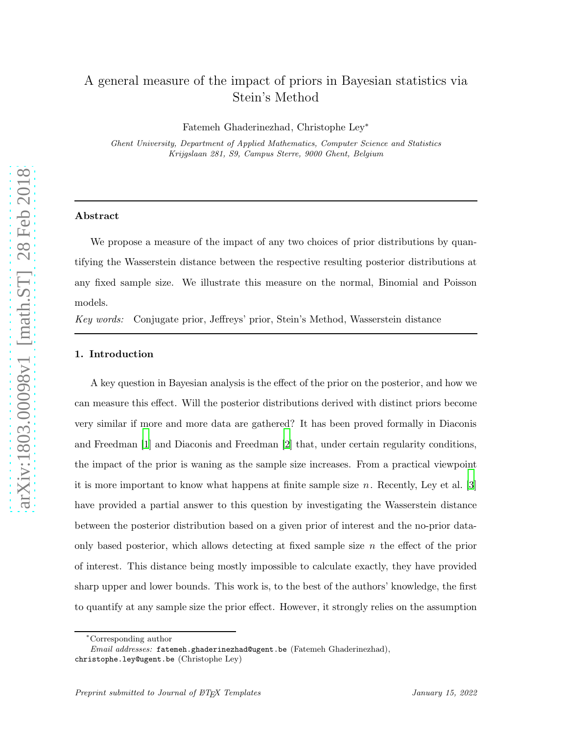# A general measure of the impact of priors in Bayesian statistics via Stein's Method

Fatemeh Ghaderinezhad, Christophe Ley<sup>∗</sup>

Ghent University, Department of Applied Mathematics, Computer Science and Statistics Krijgslaan 281, S9, Campus Sterre, 9000 Ghent, Belgium

### Abstract

We propose a measure of the impact of any two choices of prior distributions by quantifying the Wasserstein distance between the respective resulting posterior distributions at any fixed sample size. We illustrate this measure on the normal, Binomial and Poisson models.

Key words: Conjugate prior, Jeffreys' prior, Stein's Method, Wasserstein distance

#### 1. Introduction

A key question in Bayesian analysis is the effect of the prior on the posterior, and how we can measure this effect. Will the posterior distributions derived with distinct priors become very similar if more and more data are gathered? It has been proved formally in Diaconis and Freedman [\[1\]](#page-11-0) and Diaconis and Freedman [\[2](#page-11-1)] that, under certain regularity conditions, the impact of the prior is waning as the sample size increases. From a practical viewpoint it is more important to know what happens at finite sample size  $n$ . Recently, Ley et al. [\[3](#page-11-2)] have provided a partial answer to this question by investigating the Wasserstein distance between the posterior distribution based on a given prior of interest and the no-prior dataonly based posterior, which allows detecting at fixed sample size  $n$  the effect of the prior of interest. This distance being mostly impossible to calculate exactly, they have provided sharp upper and lower bounds. This work is, to the best of the authors' knowledge, the first to quantify at any sample size the prior effect. However, it strongly relies on the assumption

<sup>∗</sup>Corresponding author

Email addresses: fatemeh.ghaderinezhad@ugent.be (Fatemeh Ghaderinezhad), christophe.ley@ugent.be (Christophe Ley)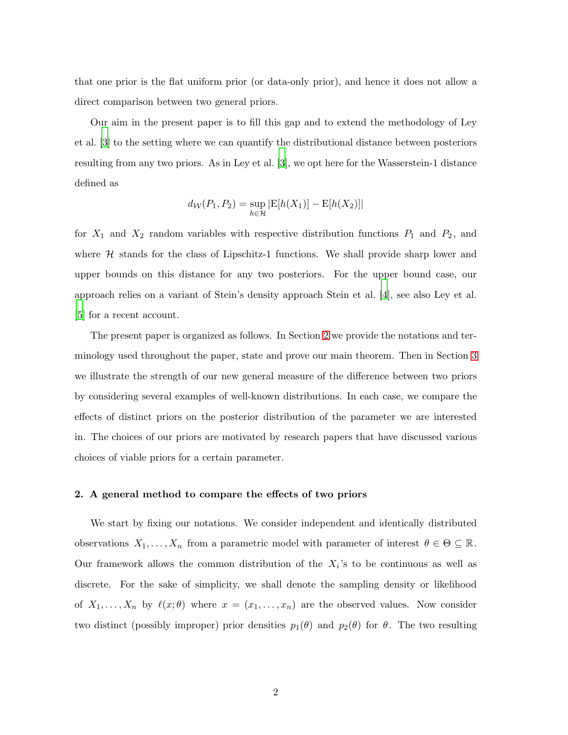that one prior is the flat uniform prior (or data-only prior), and hence it does not allow a direct comparison between two general priors.

Our aim in the present paper is to fill this gap and to extend the methodology of Ley et al. [\[3](#page-11-2)] to the setting where we can quantify the distributional distance between posteriors resulting from any two priors. As in Ley et al. [\[3](#page-11-2)], we opt here for the Wasserstein-1 distance defined as

$$
d_{\mathcal{W}}(P_1, P_2) = \sup_{h \in \mathcal{H}} |E[h(X_1)] - E[h(X_2)]|
$$

for  $X_1$  and  $X_2$  random variables with respective distribution functions  $P_1$  and  $P_2$ , and where  $H$  stands for the class of Lipschitz-1 functions. We shall provide sharp lower and upper bounds on this distance for any two posteriors. For the upper bound case, our approach relies on a variant of Stein's density approach Stein et al. [\[4\]](#page-11-3), see also Ley et al. [\[5](#page-11-4)] for a recent account.

The present paper is organized as follows. In Section [2](#page-1-0) we provide the notations and terminology used throughout the paper, state and prove our main theorem. Then in Section [3](#page-5-0) we illustrate the strength of our new general measure of the difference between two priors by considering several examples of well-known distributions. In each case, we compare the effects of distinct priors on the posterior distribution of the parameter we are interested in. The choices of our priors are motivated by research papers that have discussed various choices of viable priors for a certain parameter.

## <span id="page-1-0"></span>2. A general method to compare the effects of two priors

We start by fixing our notations. We consider independent and identically distributed observations  $X_1, \ldots, X_n$  from a parametric model with parameter of interest  $\theta \in \Theta \subseteq \mathbb{R}$ . Our framework allows the common distribution of the  $X_i$ 's to be continuous as well as discrete. For the sake of simplicity, we shall denote the sampling density or likelihood of  $X_1, \ldots, X_n$  by  $\ell(x; \theta)$  where  $x = (x_1, \ldots, x_n)$  are the observed values. Now consider two distinct (possibly improper) prior densities  $p_1(\theta)$  and  $p_2(\theta)$  for  $\theta$ . The two resulting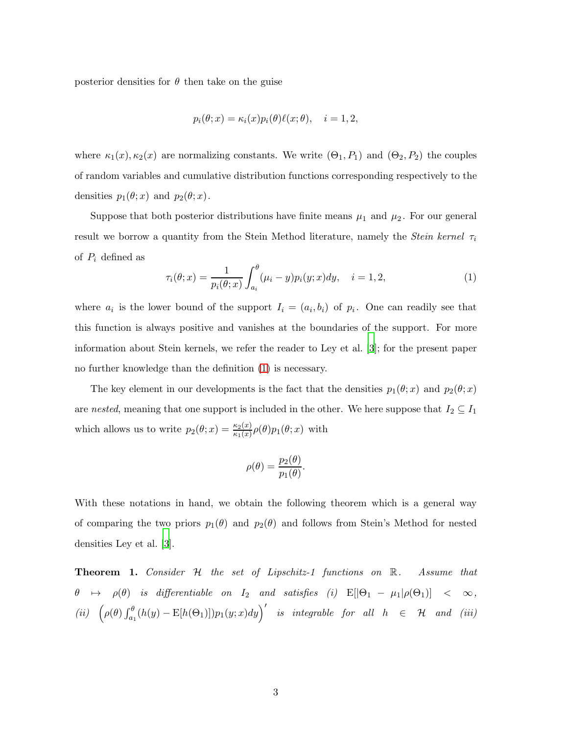posterior densities for  $\theta$  then take on the guise

$$
p_i(\theta; x) = \kappa_i(x) p_i(\theta) \ell(x; \theta), \quad i = 1, 2,
$$

where  $\kappa_1(x), \kappa_2(x)$  are normalizing constants. We write  $(\Theta_1, P_1)$  and  $(\Theta_2, P_2)$  the couples of random variables and cumulative distribution functions corresponding respectively to the densities  $p_1(\theta; x)$  and  $p_2(\theta; x)$ .

Suppose that both posterior distributions have finite means  $\mu_1$  and  $\mu_2$ . For our general result we borrow a quantity from the Stein Method literature, namely the *Stein kernel*  $\tau_i$ of  $P_i$  defined as

<span id="page-2-0"></span>
$$
\tau_i(\theta; x) = \frac{1}{p_i(\theta; x)} \int_{a_i}^{\theta} (\mu_i - y) p_i(y; x) dy, \quad i = 1, 2,
$$
\n(1)

where  $a_i$  is the lower bound of the support  $I_i = (a_i, b_i)$  of  $p_i$ . One can readily see that this function is always positive and vanishes at the boundaries of the support. For more information about Stein kernels, we refer the reader to Ley et al. [\[3\]](#page-11-2); for the present paper no further knowledge than the definition [\(1\)](#page-2-0) is necessary.

The key element in our developments is the fact that the densities  $p_1(\theta; x)$  and  $p_2(\theta; x)$ are nested, meaning that one support is included in the other. We here suppose that  $I_2 \subseteq I_1$ which allows us to write  $p_2(\theta; x) = \frac{\kappa_2(x)}{\kappa_1(x)} \rho(\theta) p_1(\theta; x)$  with

$$
\rho(\theta) = \frac{p_2(\theta)}{p_1(\theta)}.
$$

With these notations in hand, we obtain the following theorem which is a general way of comparing the two priors  $p_1(\theta)$  and  $p_2(\theta)$  and follows from Stein's Method for nested densities Ley et al. [\[3](#page-11-2)].

<span id="page-2-1"></span>Theorem 1. Consider H the set of Lipschitz-1 functions on R. Assume that  $\theta \mapsto \rho(\theta)$  is differentiable on  $I_2$  and satisfies (i)  $E[|\Theta_1 - \mu_1| \rho(\Theta_1)] < \infty$ ,  $(iii)$   $(\rho(\theta) \int_{a_1}^{\theta} (h(y) - \mathbb{E}[h(\Theta_1)]) p_1(y; x) dy)$  is integrable for all  $h \in \mathcal{H}$  and  $(iii)$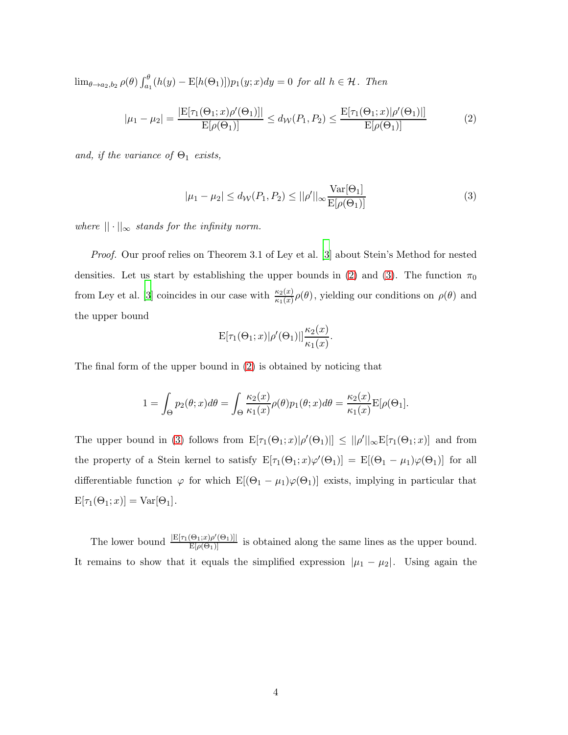$\lim_{\theta\to a_2,b_2} \rho(\theta) \int_{a_1}^{\theta} (h(y) - \mathbb{E}[h(\Theta_1)]) p_1(y;x) dy = 0$  for all  $h \in \mathcal{H}$ . Then

$$
|\mu_1 - \mu_2| = \frac{|E[\tau_1(\Theta_1; x)\rho'(\Theta_1)]|}{E[\rho(\Theta_1)]} \le d_{\mathcal{W}}(P_1, P_2) \le \frac{E[\tau_1(\Theta_1; x)|\rho'(\Theta_1)]}{E[\rho(\Theta_1)]}
$$
(2)

<span id="page-3-1"></span>and, if the variance of  $\Theta_1$  exists,

<span id="page-3-0"></span>
$$
|\mu_1 - \mu_2| \le d_{\mathcal{W}}(P_1, P_2) \le ||\rho'||_{\infty} \frac{\text{Var}[\Theta_1]}{\text{E}[\rho(\Theta_1)]}
$$
(3)

where  $|| \cdot ||_{\infty}$  stands for the infinity norm.

Proof. Our proof relies on Theorem 3.1 of Ley et al. [\[3](#page-11-2)] about Stein's Method for nested densities. Let us start by establishing the upper bounds in [\(2\)](#page-3-0) and [\(3\)](#page-3-1). The function  $\pi_0$ from Ley et al. [\[3\]](#page-11-2) coincides in our case with  $\frac{\kappa_2(x)}{\kappa_1(x)}\rho(\theta)$ , yielding our conditions on  $\rho(\theta)$  and the upper bound

$$
\mathbf{E}[\tau_1(\Theta_1;x)|\rho'(\Theta_1)||\frac{\kappa_2(x)}{\kappa_1(x)}.
$$

The final form of the upper bound in [\(2\)](#page-3-0) is obtained by noticing that

$$
1 = \int_{\Theta} p_2(\theta; x) d\theta = \int_{\Theta} \frac{\kappa_2(x)}{\kappa_1(x)} \rho(\theta) p_1(\theta; x) d\theta = \frac{\kappa_2(x)}{\kappa_1(x)} \mathbb{E}[\rho(\Theta_1].
$$

The upper bound in [\(3\)](#page-3-1) follows from  $E[\tau_1(\Theta_1; x)|\rho'(\Theta_1)] \leq ||\rho'||_{\infty} E[\tau_1(\Theta_1; x)]$  and from the property of a Stein kernel to satisfy  $E[\tau_1(\Theta_1; x)\varphi'(\Theta_1)] = E[(\Theta_1 - \mu_1)\varphi(\Theta_1)]$  for all differentiable function  $\varphi$  for which  $E[(\Theta_1 - \mu_1)\varphi(\Theta_1)]$  exists, implying in particular that  $E[\tau_1(\Theta_1; x)] = \text{Var}[\Theta_1].$ 

The lower bound  $\frac{|E[\tau_1(\Theta_1;x)\rho'(\Theta_1)]|}{E[\rho(\Theta_1)]}$  is obtained along the same lines as the upper bound. It remains to show that it equals the simplified expression  $|\mu_1 - \mu_2|$ . Using again the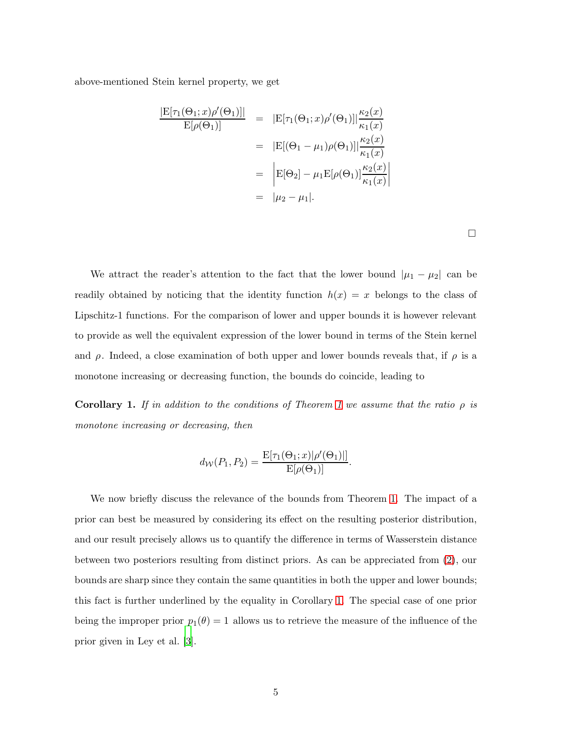above-mentioned Stein kernel property, we get

$$
\frac{|\mathcal{E}[\tau_1(\Theta_1; x)\rho'(\Theta_1)]|}{\mathcal{E}[\rho(\Theta_1)]} = |\mathcal{E}[\tau_1(\Theta_1; x)\rho'(\Theta_1)]| \frac{\kappa_2(x)}{\kappa_1(x)}
$$
  
\n
$$
= |\mathcal{E}[(\Theta_1 - \mu_1)\rho(\Theta_1)]| \frac{\kappa_2(x)}{\kappa_1(x)}
$$
  
\n
$$
= |\mathcal{E}[\Theta_2] - \mu_1 \mathcal{E}[\rho(\Theta_1)] \frac{\kappa_2(x)}{\kappa_1(x)}
$$
  
\n
$$
= |\mu_2 - \mu_1|.
$$

We attract the reader's attention to the fact that the lower bound  $|\mu_1 - \mu_2|$  can be readily obtained by noticing that the identity function  $h(x) = x$  belongs to the class of Lipschitz-1 functions. For the comparison of lower and upper bounds it is however relevant to provide as well the equivalent expression of the lower bound in terms of the Stein kernel and  $\rho$ . Indeed, a close examination of both upper and lower bounds reveals that, if  $\rho$  is a monotone increasing or decreasing function, the bounds do coincide, leading to

<span id="page-4-0"></span>Corollary [1](#page-2-1). If in addition to the conditions of Theorem 1 we assume that the ratio  $\rho$  is monotone increasing or decreasing, then

$$
d_{\mathcal{W}}(P_1, P_2) = \frac{\mathbb{E}[\tau_1(\Theta_1; x)|\rho'(\Theta_1)|]}{\mathbb{E}[\rho(\Theta_1)]}.
$$

We now briefly discuss the relevance of the bounds from Theorem [1.](#page-2-1) The impact of a prior can best be measured by considering its effect on the resulting posterior distribution, and our result precisely allows us to quantify the difference in terms of Wasserstein distance between two posteriors resulting from distinct priors. As can be appreciated from [\(2\)](#page-3-0), our bounds are sharp since they contain the same quantities in both the upper and lower bounds; this fact is further underlined by the equality in Corollary [1.](#page-4-0) The special case of one prior being the improper prior  $p_1(\theta) = 1$  allows us to retrieve the measure of the influence of the prior given in Ley et al. [\[3\]](#page-11-2).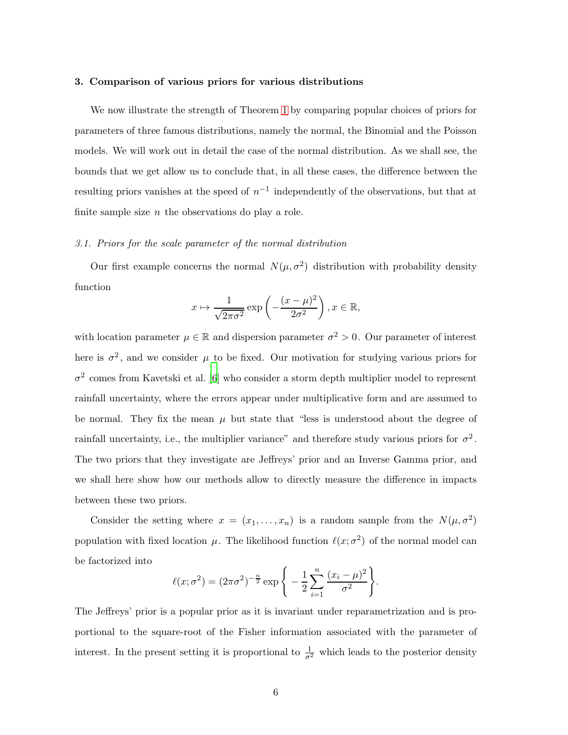## <span id="page-5-0"></span>3. Comparison of various priors for various distributions

We now illustrate the strength of Theorem [1](#page-2-1) by comparing popular choices of priors for parameters of three famous distributions, namely the normal, the Binomial and the Poisson models. We will work out in detail the case of the normal distribution. As we shall see, the bounds that we get allow us to conclude that, in all these cases, the difference between the resulting priors vanishes at the speed of  $n^{-1}$  independently of the observations, but that at finite sample size  $n$  the observations do play a role.

## <span id="page-5-1"></span>3.1. Priors for the scale parameter of the normal distribution

Our first example concerns the normal  $N(\mu, \sigma^2)$  distribution with probability density function

$$
x \mapsto \frac{1}{\sqrt{2\pi\sigma^2}} \exp\left(-\frac{(x-\mu)^2}{2\sigma^2}\right), x \in \mathbb{R},
$$

with location parameter  $\mu \in \mathbb{R}$  and dispersion parameter  $\sigma^2 > 0$ . Our parameter of interest here is  $\sigma^2$ , and we consider  $\mu$  to be fixed. Our motivation for studying various priors for  $\sigma^2$  comes from Kavetski et al. [\[6](#page-11-5)] who consider a storm depth multiplier model to represent rainfall uncertainty, where the errors appear under multiplicative form and are assumed to be normal. They fix the mean  $\mu$  but state that "less is understood about the degree of rainfall uncertainty, i.e., the multiplier variance" and therefore study various priors for  $\sigma^2$ . The two priors that they investigate are Jeffreys' prior and an Inverse Gamma prior, and we shall here show how our methods allow to directly measure the difference in impacts between these two priors.

Consider the setting where  $x = (x_1, \ldots, x_n)$  is a random sample from the  $N(\mu, \sigma^2)$ population with fixed location  $\mu$ . The likelihood function  $\ell(x; \sigma^2)$  of the normal model can be factorized into

$$
\ell(x;\sigma^2) = (2\pi\sigma^2)^{-\frac{n}{2}} \exp\bigg\{-\frac{1}{2}\sum_{i=1}^n \frac{(x_i-\mu)^2}{\sigma^2}\bigg\}.
$$

The Jeffreys' prior is a popular prior as it is invariant under reparametrization and is proportional to the square-root of the Fisher information associated with the parameter of interest. In the present setting it is proportional to  $\frac{1}{\sigma^2}$  which leads to the posterior density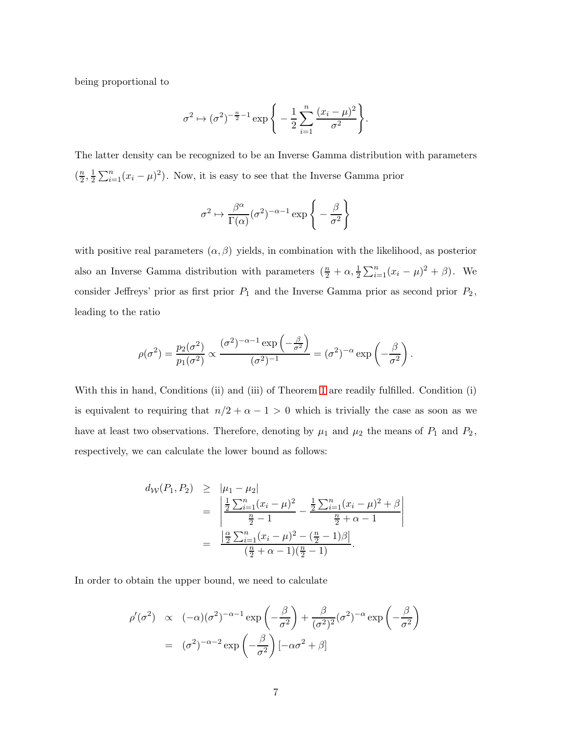being proportional to

$$
\sigma^2 \mapsto (\sigma^2)^{-\frac{n}{2}-1} \exp\Bigg\{-\frac{1}{2}\sum_{i=1}^n \frac{(x_i-\mu)^2}{\sigma^2}\Bigg\}.
$$

The latter density can be recognized to be an Inverse Gamma distribution with parameters  $\left(\frac{n}{2}\right)$  $\frac{n}{2}, \frac{1}{2}$  $\frac{1}{2}\sum_{i=1}^{n}(x_i-\mu)^2$ . Now, it is easy to see that the Inverse Gamma prior

$$
\sigma^2 \mapsto \frac{\beta^{\alpha}}{\Gamma(\alpha)} (\sigma^2)^{-\alpha - 1} \exp \left\{-\frac{\beta}{\sigma^2}\right\}
$$

with positive real parameters  $(\alpha, \beta)$  yields, in combination with the likelihood, as posterior also an Inverse Gamma distribution with parameters  $(\frac{n}{2} + \alpha, \frac{1}{2} \sum_{i=1}^{n} (x_i - \mu)^2 + \beta)$ . We consider Jeffreys' prior as first prior  $P_1$  and the Inverse Gamma prior as second prior  $P_2$ , leading to the ratio

$$
\rho(\sigma^2) = \frac{p_2(\sigma^2)}{p_1(\sigma^2)} \propto \frac{(\sigma^2)^{-\alpha-1} \exp\left(-\frac{\beta}{\sigma^2}\right)}{(\sigma^2)^{-1}} = (\sigma^2)^{-\alpha} \exp\left(-\frac{\beta}{\sigma^2}\right).
$$

With this in hand, Conditions (ii) and (iii) of Theorem [1](#page-2-1) are readily fulfilled. Condition (i) is equivalent to requiring that  $n/2 + \alpha - 1 > 0$  which is trivially the case as soon as we have at least two observations. Therefore, denoting by  $\mu_1$  and  $\mu_2$  the means of  $P_1$  and  $P_2$ , respectively, we can calculate the lower bound as follows:

$$
d_W(P_1, P_2) \geq |\mu_1 - \mu_2|
$$
  
= 
$$
\left| \frac{\frac{1}{2} \sum_{i=1}^n (x_i - \mu)^2}{\frac{n}{2} - 1} - \frac{\frac{1}{2} \sum_{i=1}^n (x_i - \mu)^2 + \beta}{\frac{n}{2} + \alpha - 1} \right|
$$
  
= 
$$
\frac{\left| \frac{\alpha}{2} \sum_{i=1}^n (x_i - \mu)^2 - (\frac{n}{2} - 1)\beta \right|}{(\frac{n}{2} + \alpha - 1)(\frac{n}{2} - 1)}.
$$

In order to obtain the upper bound, we need to calculate

$$
\rho'(\sigma^2) \propto (-\alpha)(\sigma^2)^{-\alpha-1} \exp\left(-\frac{\beta}{\sigma^2}\right) + \frac{\beta}{(\sigma^2)^2} (\sigma^2)^{-\alpha} \exp\left(-\frac{\beta}{\sigma^2}\right)
$$

$$
= (\sigma^2)^{-\alpha-2} \exp\left(-\frac{\beta}{\sigma^2}\right) [-\alpha\sigma^2 + \beta]
$$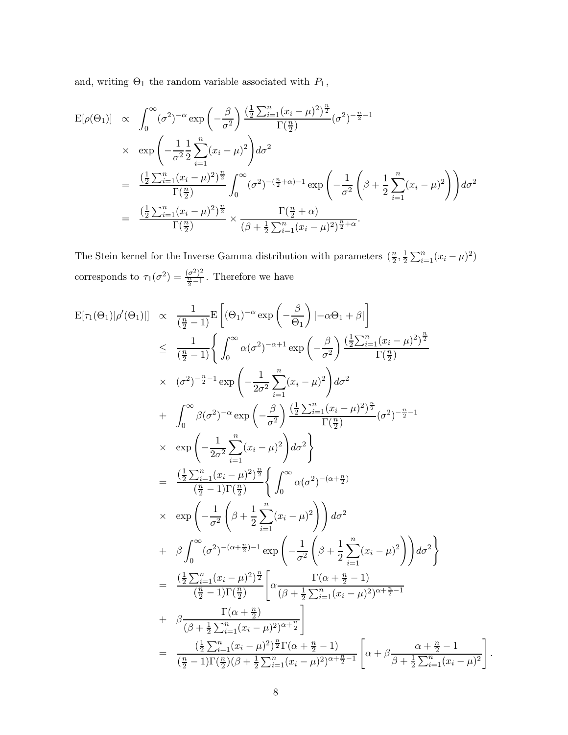and, writing  $\Theta_1$  the random variable associated with  $P_1\hspace{0.03cm},$ 

$$
E[\rho(\Theta_1)] \propto \int_0^\infty (\sigma^2)^{-\alpha} \exp\left(-\frac{\beta}{\sigma^2}\right) \frac{\left(\frac{1}{2}\sum_{i=1}^n (x_i - \mu)^2\right)^{\frac{n}{2}}}{\Gamma(\frac{n}{2})} (\sigma^2)^{-\frac{n}{2}-1}
$$
  
 
$$
\times \exp\left(-\frac{1}{\sigma^2}\frac{1}{2}\sum_{i=1}^n (x_i - \mu)^2\right) d\sigma^2
$$
  
\n
$$
= \frac{\left(\frac{1}{2}\sum_{i=1}^n (x_i - \mu)^2\right)^{\frac{n}{2}}}{\Gamma(\frac{n}{2})} \int_0^\infty (\sigma^2)^{-(\frac{n}{2}+\alpha)-1} \exp\left(-\frac{1}{\sigma^2}\left(\beta + \frac{1}{2}\sum_{i=1}^n (x_i - \mu)^2\right)\right) d\sigma^2
$$
  
\n
$$
= \frac{\left(\frac{1}{2}\sum_{i=1}^n (x_i - \mu)^2\right)^{\frac{n}{2}}}{\Gamma(\frac{n}{2})} \times \frac{\Gamma(\frac{n}{2}+\alpha)}{(\beta + \frac{1}{2}\sum_{i=1}^n (x_i - \mu)^2)^{\frac{n}{2}+\alpha}}.
$$

The Stein kernel for the Inverse Gamma distribution with parameters  $(\frac{n}{2}, \frac{1}{2})$  $\frac{1}{2}\sum_{i=1}^{n}(x_i-\mu)^2)$ corresponds to  $\tau_1(\sigma^2) = \frac{(\sigma^2)^2}{\frac{n}{2}-1}$  $\frac{\frac{\sigma}{2}-1}{\frac{n}{2}-1}$ . Therefore we have

$$
E[\tau_1(\Theta_1)|\rho'(\Theta_1)|] \propto \frac{1}{(\frac{n}{2}-1)} E\left[(\Theta_1)^{-\alpha} \exp\left(-\frac{\beta}{\Theta_1}\right)|-\alpha \Theta_1 + \beta|\right]
$$
  
\n
$$
\leq \frac{1}{(\frac{n}{2}-1)} \Biggl\{ \int_0^{\infty} \alpha(\sigma^2)^{-\alpha+1} \exp\left(-\frac{\beta}{\sigma^2}\right) \frac{(\frac{1}{2}\sum_{i=1}^n (x_i - \mu)^2)^{\frac{n}{2}}}{\Gamma(\frac{n}{2})}
$$
  
\n
$$
\times (\sigma^2)^{-\frac{n}{2}-1} \exp\left(-\frac{1}{2\sigma^2}\sum_{i=1}^n (x_i - \mu)^2\right) d\sigma^2
$$
  
\n
$$
+ \int_0^{\infty} \beta(\sigma^2)^{-\alpha} \exp\left(-\frac{\beta}{\sigma^2}\right) \frac{(\frac{1}{2}\sum_{i=1}^n (x_i - \mu)^2)^{\frac{n}{2}}}{\Gamma(\frac{n}{2})} (\sigma^2)^{-\frac{n}{2}-1}
$$
  
\n
$$
\times \exp\left(-\frac{1}{2\sigma^2}\sum_{i=1}^n (x_i - \mu)^2\right) d\sigma^2 \Biggr\}
$$
  
\n
$$
= \frac{(\frac{1}{2}\sum_{i=1}^n (x_i - \mu)^2)^{\frac{n}{2}}}{(\frac{n}{2}-1)\Gamma(\frac{n}{2})} \Biggl\{ \int_0^{\infty} \alpha(\sigma^2)^{-(\alpha+\frac{n}{2})}
$$
  
\n
$$
\times \exp\left(-\frac{1}{\sigma^2}\left(\beta + \frac{1}{2}\sum_{i=1}^n (x_i - \mu)^2\right)\right) d\sigma^2
$$
  
\n
$$
+ \beta \int_0^{\infty} (\sigma^2)^{-(\alpha+\frac{n}{2})-1} \exp\left(-\frac{1}{\sigma^2}\left(\beta + \frac{1}{2}\sum_{i=1}^n (x_i - \mu)^2\right)\right) d\sigma^2 \Biggr\}
$$
  
\n
$$
= \frac{(\frac{1}{2}\sum_{i=1}^n (x_i - \mu)^2)^{\frac{n}{2}}}{(\frac{n}{2}-1)\Gamma(\frac{n}{2})} \Biggl[ \alpha \frac{\Gamma(\alpha+\frac{n}{2}-1)}
$$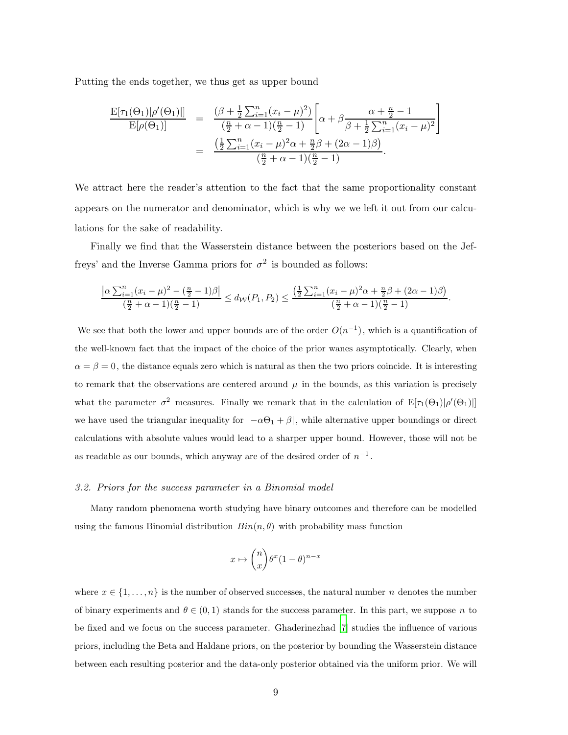Putting the ends together, we thus get as upper bound

$$
\frac{\mathcal{E}[\tau_1(\Theta_1)|\rho'(\Theta_1)|]}{\mathcal{E}[\rho(\Theta_1)]} = \frac{(\beta + \frac{1}{2}\sum_{i=1}^n(x_i - \mu)^2)}{\left(\frac{n}{2} + \alpha - 1\right)\left(\frac{n}{2} - 1\right)} \left[\alpha + \beta \frac{\alpha + \frac{n}{2} - 1}{\beta + \frac{1}{2}\sum_{i=1}^n(x_i - \mu)^2}\right]
$$

$$
= \frac{\left(\frac{1}{2}\sum_{i=1}^n(x_i - \mu)^2\alpha + \frac{n}{2}\beta + (2\alpha - 1)\beta\right)}{\left(\frac{n}{2} + \alpha - 1\right)\left(\frac{n}{2} - 1\right)}.
$$

We attract here the reader's attention to the fact that the same proportionality constant appears on the numerator and denominator, which is why we we left it out from our calculations for the sake of readability.

Finally we find that the Wasserstein distance between the posteriors based on the Jeffreys' and the Inverse Gamma priors for  $\sigma^2$  is bounded as follows:

$$
\frac{\left|\alpha\sum_{i=1}^n(x_i-\mu)^2-\left(\frac{n}{2}-1\right)\beta\right|}{\left(\frac{n}{2}+\alpha-1\right)\left(\frac{n}{2}-1\right)} \le d_{\mathcal{W}}(P_1,P_2) \le \frac{\left(\frac{1}{2}\sum_{i=1}^n(x_i-\mu)^2\alpha+\frac{n}{2}\beta+(2\alpha-1)\beta\right)}{\left(\frac{n}{2}+\alpha-1\right)\left(\frac{n}{2}-1\right)}.
$$

We see that both the lower and upper bounds are of the order  $O(n^{-1})$ , which is a quantification of the well-known fact that the impact of the choice of the prior wanes asymptotically. Clearly, when  $\alpha = \beta = 0$ , the distance equals zero which is natural as then the two priors coincide. It is interesting to remark that the observations are centered around  $\mu$  in the bounds, as this variation is precisely what the parameter  $\sigma^2$  measures. Finally we remark that in the calculation of  $E[\tau_1(\Theta_1)|\rho'(\Theta_1)]$ we have used the triangular inequality for  $|-\alpha\Theta_1 + \beta|$ , while alternative upper boundings or direct calculations with absolute values would lead to a sharper upper bound. However, those will not be as readable as our bounds, which anyway are of the desired order of  $n^{-1}$ .

#### 3.2. Priors for the success parameter in a Binomial model

Many random phenomena worth studying have binary outcomes and therefore can be modelled using the famous Binomial distribution  $Bin(n, \theta)$  with probability mass function

$$
x \mapsto \binom{n}{x} \theta^x (1 - \theta)^{n - x}
$$

where  $x \in \{1, \ldots, n\}$  is the number of observed successes, the natural number n denotes the number of binary experiments and  $\theta \in (0,1)$  stands for the success parameter. In this part, we suppose n to be fixed and we focus on the success parameter. Ghaderinezhad [\[7\]](#page-11-6) studies the influence of various priors, including the Beta and Haldane priors, on the posterior by bounding the Wasserstein distance between each resulting posterior and the data-only posterior obtained via the uniform prior. We will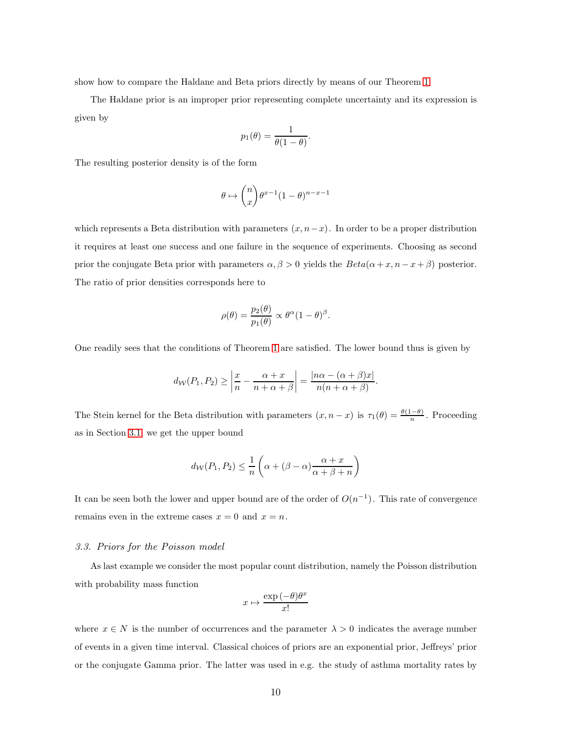show how to compare the Haldane and Beta priors directly by means of our Theorem [1.](#page-2-1)

The Haldane prior is an improper prior representing complete uncertainty and its expression is given by

$$
p_1(\theta) = \frac{1}{\theta(1-\theta)}.
$$

The resulting posterior density is of the form

$$
\theta \mapsto {n \choose x} \theta^{x-1} (1-\theta)^{n-x-1}
$$

which represents a Beta distribution with parameters  $(x, n-x)$ . In order to be a proper distribution it requires at least one success and one failure in the sequence of experiments. Choosing as second prior the conjugate Beta prior with parameters  $\alpha, \beta > 0$  yields the  $Beta(\alpha + x, n - x + \beta)$  posterior. The ratio of prior densities corresponds here to

$$
\rho(\theta) = \frac{p_2(\theta)}{p_1(\theta)} \propto \theta^{\alpha} (1 - \theta)^{\beta}.
$$

One readily sees that the conditions of Theorem [1](#page-2-1) are satisfied. The lower bound thus is given by

$$
d_{\mathcal{W}}(P_1, P_2) \ge \left| \frac{x}{n} - \frac{\alpha + x}{n + \alpha + \beta} \right| = \frac{|n\alpha - (\alpha + \beta)x|}{n(n + \alpha + \beta)}.
$$

The Stein kernel for the Beta distribution with parameters  $(x, n-x)$  is  $\tau_1(\theta) = \frac{\theta(1-\theta)}{n}$ . Proceeding as in Section [3.1,](#page-5-1) we get the upper bound

$$
d_{\mathcal{W}}(P_1, P_2) \leq \frac{1}{n} \left( \alpha + (\beta - \alpha) \frac{\alpha + x}{\alpha + \beta + n} \right)
$$

It can be seen both the lower and upper bound are of the order of  $O(n^{-1})$ . This rate of convergence remains even in the extreme cases  $x = 0$  and  $x = n$ .

#### 3.3. Priors for the Poisson model

As last example we consider the most popular count distribution, namely the Poisson distribution with probability mass function

$$
x\mapsto \frac{\exp{(-\theta)}\theta^x}{x!}
$$

where  $x \in N$  is the number of occurrences and the parameter  $\lambda > 0$  indicates the average number of events in a given time interval. Classical choices of priors are an exponential prior, Jeffreys' prior or the conjugate Gamma prior. The latter was used in e.g. the study of asthma mortality rates by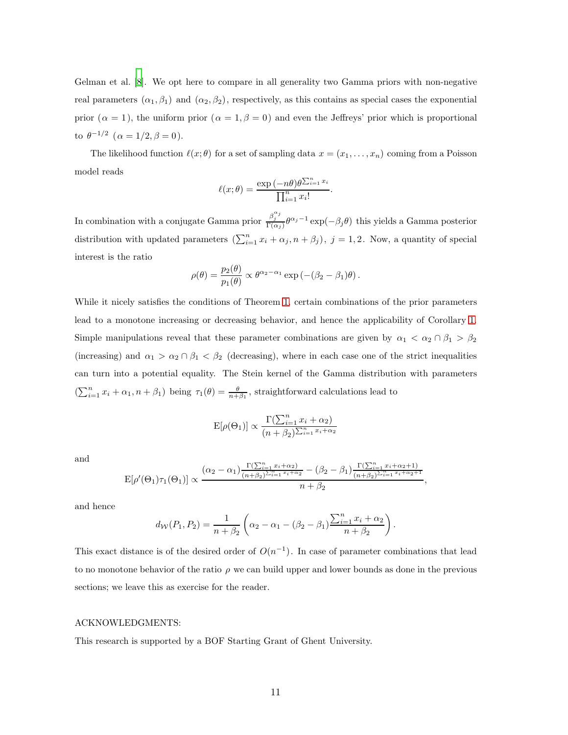Gelman et al. [\[8\]](#page-11-7). We opt here to compare in all generality two Gamma priors with non-negative real parameters  $(\alpha_1, \beta_1)$  and  $(\alpha_2, \beta_2)$ , respectively, as this contains as special cases the exponential prior  $(\alpha = 1)$ , the uniform prior  $(\alpha = 1, \beta = 0)$  and even the Jeffreys' prior which is proportional to  $\theta^{-1/2}$   $(\alpha = 1/2, \beta = 0).$ 

The likelihood function  $\ell(x; \theta)$  for a set of sampling data  $x = (x_1, \ldots, x_n)$  coming from a Poisson model reads

$$
\ell(x; \theta) = \frac{\exp(-n\theta)\theta^{\sum_{i=1}^{n} x_i}}{\prod_{i=1}^{n} x_i!}.
$$

In combination with a conjugate Gamma prior  $\frac{\beta_j^{\alpha_j}}{\Gamma(\alpha_j)} \theta^{\alpha_j-1} \exp(-\beta_j \theta)$  this yields a Gamma posterior distribution with updated parameters  $(\sum_{i=1}^n x_i + \alpha_j, n + \beta_j)$ ,  $j = 1, 2$ . Now, a quantity of special interest is the ratio

$$
\rho(\theta) = \frac{p_2(\theta)}{p_1(\theta)} \propto \theta^{\alpha_2 - \alpha_1} \exp \left( -(\beta_2 - \beta_1)\theta \right).
$$

While it nicely satisfies the conditions of Theorem [1,](#page-2-1) certain combinations of the prior parameters lead to a monotone increasing or decreasing behavior, and hence the applicability of Corollary [1.](#page-4-0) Simple manipulations reveal that these parameter combinations are given by  $\alpha_1 < \alpha_2 \cap \beta_1 > \beta_2$ (increasing) and  $\alpha_1 > \alpha_2 \cap \beta_1 < \beta_2$  (decreasing), where in each case one of the strict inequalities can turn into a potential equality. The Stein kernel of the Gamma distribution with parameters  $(\sum_{i=1}^n x_i + \alpha_1, n + \beta_1)$  being  $\tau_1(\theta) = \frac{\theta}{n + \beta_1}$ , straightforward calculations lead to

$$
\mathbf{E}[\rho(\Theta_1)] \propto \frac{\Gamma(\sum_{i=1}^n x_i + \alpha_2)}{(n + \beta_2)^{\sum_{i=1}^n x_i + \alpha_2}}
$$

and

$$
E[\rho'(\Theta_1)\tau_1(\Theta_1)] \propto \frac{(\alpha_2 - \alpha_1) \frac{\Gamma(\sum_{i=1}^n x_i + \alpha_2)}{(n + \beta_2)^{\sum_{i=1}^n x_i + \alpha_2}} - (\beta_2 - \beta_1) \frac{\Gamma(\sum_{i=1}^n x_i + \alpha_2 + 1)}{(n + \beta_2)^{\sum_{i=1}^n x_i + \alpha_2 + 1}},}{n + \beta_2},
$$

and hence

$$
d_{\mathcal{W}}(P_1, P_2) = \frac{1}{n + \beta_2} \left( \alpha_2 - \alpha_1 - (\beta_2 - \beta_1) \frac{\sum_{i=1}^n x_i + \alpha_2}{n + \beta_2} \right).
$$

This exact distance is of the desired order of  $O(n^{-1})$ . In case of parameter combinations that lead to no monotone behavior of the ratio  $\rho$  we can build upper and lower bounds as done in the previous sections; we leave this as exercise for the reader.

## ACKNOWLEDGMENTS:

This research is supported by a BOF Starting Grant of Ghent University.